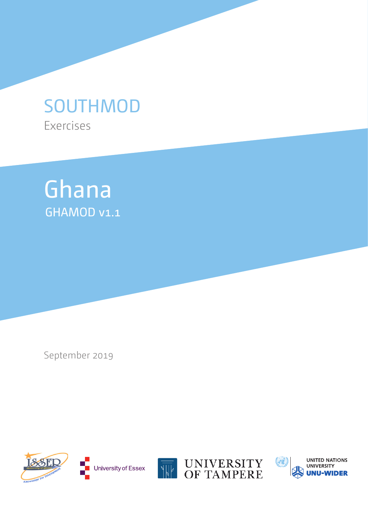# Exercises SOUTHMOD



September 2019









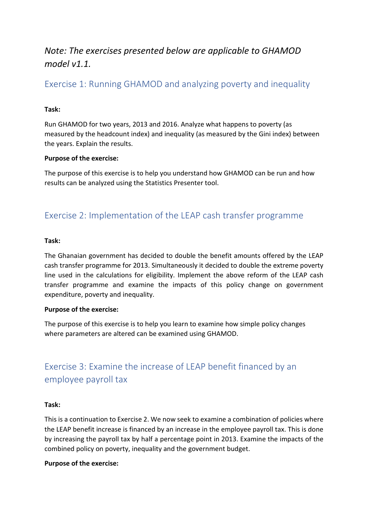# *Note: The exercises presented below are applicable to GHAMOD model v1.1.*

### Exercise 1: Running GHAMOD and analyzing poverty and inequality

### **Task:**

Run GHAMOD for two years, 2013 and 2016. Analyze what happens to poverty (as measured by the headcount index) and inequality (as measured by the Gini index) between the years. Explain the results.

### **Purpose of the exercise:**

The purpose of this exercise is to help you understand how GHAMOD can be run and how results can be analyzed using the Statistics Presenter tool.

### Exercise 2: Implementation of the LEAP cash transfer programme

### **Task:**

The Ghanaian government has decided to double the benefit amounts offered by the LEAP cash transfer programme for 2013. Simultaneously it decided to double the extreme poverty line used in the calculations for eligibility. Implement the above reform of the LEAP cash transfer programme and examine the impacts of this policy change on government expenditure, poverty and inequality.

### **Purpose of the exercise:**

The purpose of this exercise is to help you learn to examine how simple policy changes where parameters are altered can be examined using GHAMOD.

# Exercise 3: Examine the increase of LEAP benefit financed by an employee payroll tax

### **Task:**

This is a continuation to Exercise 2. We now seek to examine a combination of policies where the LEAP benefit increase is financed by an increase in the employee payroll tax. This is done by increasing the payroll tax by half a percentage point in 2013. Examine the impacts of the combined policy on poverty, inequality and the government budget.

### **Purpose of the exercise:**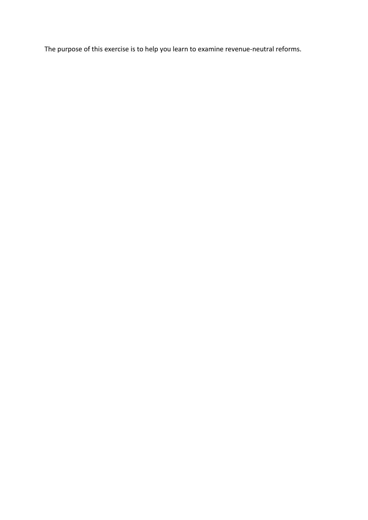The purpose of this exercise is to help you learn to examine revenue-neutral reforms.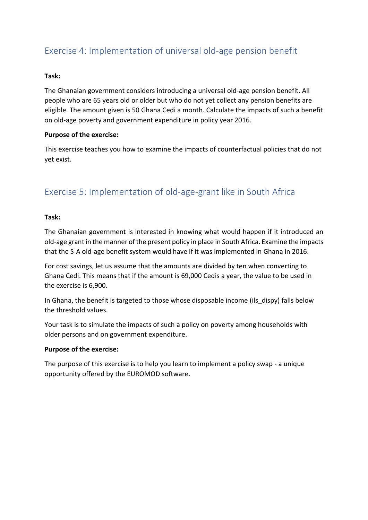# Exercise 4: Implementation of universal old-age pension benefit

### **Task:**

The Ghanaian government considers introducing a universal old-age pension benefit. All people who are 65 years old or older but who do not yet collect any pension benefits are eligible. The amount given is 50 Ghana Cedi a month. Calculate the impacts of such a benefit on old-age poverty and government expenditure in policy year 2016.

### **Purpose of the exercise:**

This exercise teaches you how to examine the impacts of counterfactual policies that do not yet exist.

### Exercise 5: Implementation of old-age-grant like in South Africa

### **Task:**

The Ghanaian government is interested in knowing what would happen if it introduced an old-age grant in the manner of the present policy in place in South Africa. Examine the impacts that the S-A old-age benefit system would have if it was implemented in Ghana in 2016.

For cost savings, let us assume that the amounts are divided by ten when converting to Ghana Cedi. This means that if the amount is 69,000 Cedis a year, the value to be used in the exercise is 6,900.

In Ghana, the benefit is targeted to those whose disposable income (ils dispy) falls below the threshold values.

Your task is to simulate the impacts of such a policy on poverty among households with older persons and on government expenditure.

### **Purpose of the exercise:**

The purpose of this exercise is to help you learn to implement a policy swap - a unique opportunity offered by the EUROMOD software.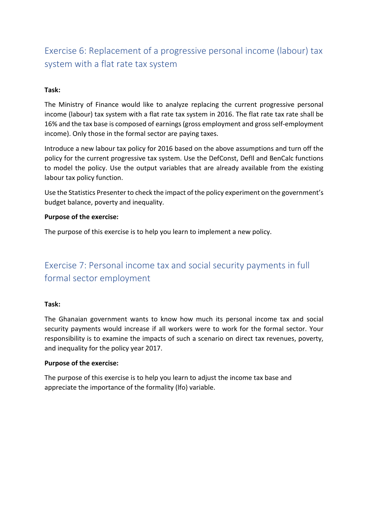# Exercise 6: Replacement of a progressive personal income (labour) tax system with a flat rate tax system

### **Task:**

The Ministry of Finance would like to analyze replacing the current progressive personal income (labour) tax system with a flat rate tax system in 2016. The flat rate tax rate shall be 16% and the tax base is composed of earnings (gross employment and gross self-employment income). Only those in the formal sector are paying taxes.

Introduce a new labour tax policy for 2016 based on the above assumptions and turn off the policy for the current progressive tax system. Use the DefConst, DefIl and BenCalc functions to model the policy. Use the output variables that are already available from the existing labour tax policy function.

Use the Statistics Presenter to check the impact of the policy experiment on the government's budget balance, poverty and inequality.

### **Purpose of the exercise:**

The purpose of this exercise is to help you learn to implement a new policy.

# Exercise 7: Personal income tax and social security payments in full formal sector employment

### **Task:**

The Ghanaian government wants to know how much its personal income tax and social security payments would increase if all workers were to work for the formal sector. Your responsibility is to examine the impacts of such a scenario on direct tax revenues, poverty, and inequality for the policy year 2017.

### **Purpose of the exercise:**

The purpose of this exercise is to help you learn to adjust the income tax base and appreciate the importance of the formality (lfo) variable.